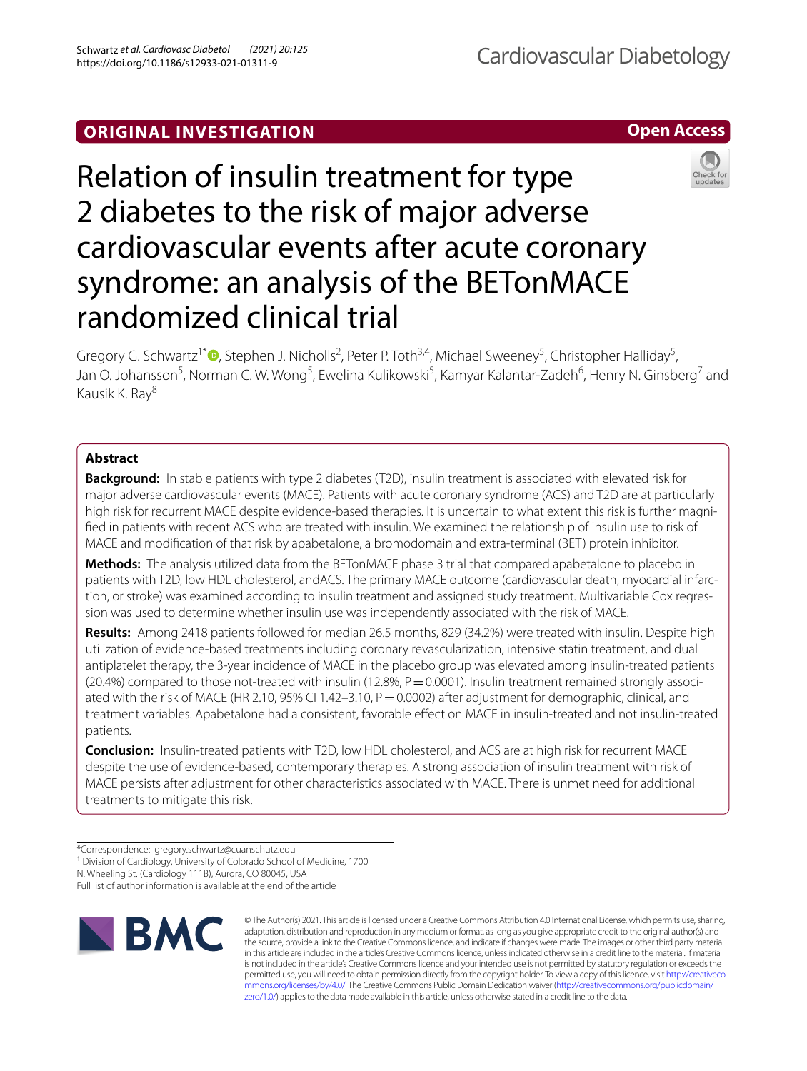# **ORIGINAL INVESTIGATION**

**Open Access**

# Relation of insulin treatment for type 2 diabetes to the risk of major adverse cardiovascular events after acute coronary syndrome: an analysis of the BETonMACE randomized clinical trial



Gregory G. Schwartz<sup>1\*</sup><sup>®</sup>[,](http://orcid.org/0000-0003-2954-0695) Stephen J. Nicholls<sup>2</sup>, Peter P. Toth<sup>3,4</sup>, Michael Sweeney<sup>5</sup>, Christopher Halliday<sup>5</sup>, Jan O. Johansson<sup>5</sup>, Norman C. W. Wong<sup>5</sup>, Ewelina Kulikowski<sup>5</sup>, Kamyar Kalantar-Zadeh<sup>6</sup>, Henry N. Ginsberg<sup>7</sup> and Kausik K. Ray8

# **Abstract**

**Background:** In stable patients with type 2 diabetes (T2D), insulin treatment is associated with elevated risk for major adverse cardiovascular events (MACE). Patients with acute coronary syndrome (ACS) and T2D are at particularly high risk for recurrent MACE despite evidence-based therapies. It is uncertain to what extent this risk is further magnifed in patients with recent ACS who are treated with insulin. We examined the relationship of insulin use to risk of MACE and modifcation of that risk by apabetalone, a bromodomain and extra-terminal (BET) protein inhibitor.

**Methods:** The analysis utilized data from the BETonMACE phase 3 trial that compared apabetalone to placebo in patients with T2D, low HDL cholesterol, andACS. The primary MACE outcome (cardiovascular death, myocardial infarction, or stroke) was examined according to insulin treatment and assigned study treatment. Multivariable Cox regression was used to determine whether insulin use was independently associated with the risk of MACE.

**Results:** Among 2418 patients followed for median 26.5 months, 829 (34.2%) were treated with insulin. Despite high utilization of evidence-based treatments including coronary revascularization, intensive statin treatment, and dual antiplatelet therapy, the 3-year incidence of MACE in the placebo group was elevated among insulin-treated patients (20.4%) compared to those not-treated with insulin (12.8%,  $P = 0.0001$ ). Insulin treatment remained strongly associated with the risk of MACE (HR 2.10, 95% CI 1.42-3.10, P = 0.0002) after adjustment for demographic, clinical, and treatment variables. Apabetalone had a consistent, favorable efect on MACE in insulin-treated and not insulin-treated patients.

**Conclusion:** Insulin-treated patients with T2D, low HDL cholesterol, and ACS are at high risk for recurrent MACE despite the use of evidence-based, contemporary therapies. A strong association of insulin treatment with risk of MACE persists after adjustment for other characteristics associated with MACE. There is unmet need for additional treatments to mitigate this risk.

<sup>1</sup> Division of Cardiology, University of Colorado School of Medicine, 1700

N. Wheeling St. (Cardiology 111B), Aurora, CO 80045, USA

Full list of author information is available at the end of the article



© The Author(s) 2021. This article is licensed under a Creative Commons Attribution 4.0 International License, which permits use, sharing, adaptation, distribution and reproduction in any medium or format, as long as you give appropriate credit to the original author(s) and the source, provide a link to the Creative Commons licence, and indicate if changes were made. The images or other third party material in this article are included in the article's Creative Commons licence, unless indicated otherwise in a credit line to the material. If material is not included in the article's Creative Commons licence and your intended use is not permitted by statutory regulation or exceeds the permitted use, you will need to obtain permission directly from the copyright holder. To view a copy of this licence, visit [http://creativeco](http://creativecommons.org/licenses/by/4.0/) [mmons.org/licenses/by/4.0/.](http://creativecommons.org/licenses/by/4.0/) The Creative Commons Public Domain Dedication waiver ([http://creativecommons.org/publicdomain/](http://creativecommons.org/publicdomain/zero/1.0/) [zero/1.0/\)](http://creativecommons.org/publicdomain/zero/1.0/) applies to the data made available in this article, unless otherwise stated in a credit line to the data.

<sup>\*</sup>Correspondence: gregory.schwartz@cuanschutz.edu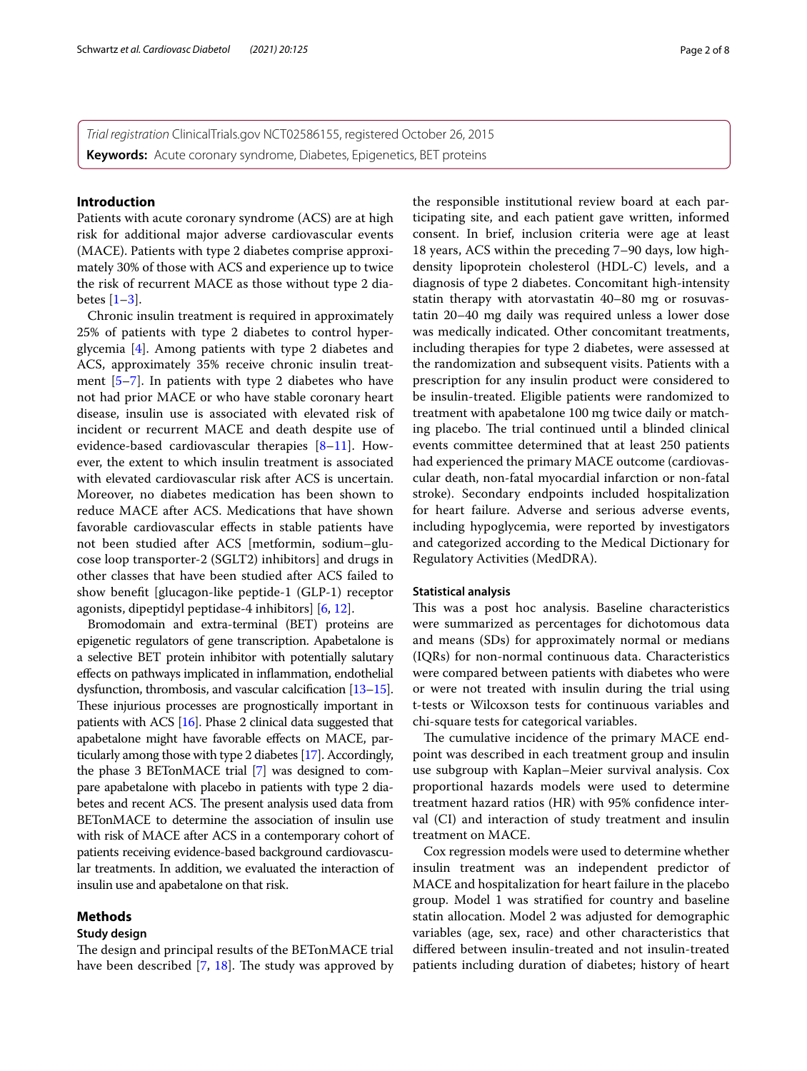*Trial registration* ClinicalTrials.gov NCT02586155, registered October 26, 2015 **Keywords:** Acute coronary syndrome, Diabetes, Epigenetics, BET proteins

# **Introduction**

Patients with acute coronary syndrome (ACS) are at high risk for additional major adverse cardiovascular events (MACE). Patients with type 2 diabetes comprise approximately 30% of those with ACS and experience up to twice the risk of recurrent MACE as those without type 2 diabetes  $[1-3]$  $[1-3]$ .

Chronic insulin treatment is required in approximately 25% of patients with type 2 diabetes to control hyperglycemia [[4\]](#page-6-2). Among patients with type 2 diabetes and ACS, approximately 35% receive chronic insulin treatment [\[5](#page-6-3)[–7\]](#page-6-4). In patients with type 2 diabetes who have not had prior MACE or who have stable coronary heart disease, insulin use is associated with elevated risk of incident or recurrent MACE and death despite use of evidence-based cardiovascular therapies [[8–](#page-6-5)[11\]](#page-6-6). However, the extent to which insulin treatment is associated with elevated cardiovascular risk after ACS is uncertain. Moreover, no diabetes medication has been shown to reduce MACE after ACS. Medications that have shown favorable cardiovascular efects in stable patients have not been studied after ACS [metformin, sodium–glucose loop transporter-2 (SGLT2) inhibitors] and drugs in other classes that have been studied after ACS failed to show beneft [glucagon-like peptide-1 (GLP-1) receptor agonists, dipeptidyl peptidase-4 inhibitors] [\[6,](#page-6-7) [12](#page-6-8)].

Bromodomain and extra-terminal (BET) proteins are epigenetic regulators of gene transcription. Apabetalone is a selective BET protein inhibitor with potentially salutary efects on pathways implicated in infammation, endothelial dysfunction, thrombosis, and vascular calcifcation [[13](#page-6-9)[–15](#page-6-10)]. These injurious processes are prognostically important in patients with ACS [\[16\]](#page-6-11). Phase 2 clinical data suggested that apabetalone might have favorable efects on MACE, particularly among those with type 2 diabetes [\[17](#page-6-12)]. Accordingly, the phase 3 BETonMACE trial [\[7\]](#page-6-4) was designed to compare apabetalone with placebo in patients with type 2 diabetes and recent ACS. The present analysis used data from BETonMACE to determine the association of insulin use with risk of MACE after ACS in a contemporary cohort of patients receiving evidence-based background cardiovascular treatments. In addition, we evaluated the interaction of insulin use and apabetalone on that risk.

# **Methods**

## **Study design**

The design and principal results of the BETonMACE trial have been described  $[7, 18]$  $[7, 18]$  $[7, 18]$  $[7, 18]$  $[7, 18]$ . The study was approved by the responsible institutional review board at each participating site, and each patient gave written, informed consent. In brief, inclusion criteria were age at least 18 years, ACS within the preceding 7–90 days, low highdensity lipoprotein cholesterol (HDL-C) levels, and a diagnosis of type 2 diabetes. Concomitant high-intensity statin therapy with atorvastatin 40–80 mg or rosuvastatin 20–40 mg daily was required unless a lower dose was medically indicated. Other concomitant treatments, including therapies for type 2 diabetes, were assessed at the randomization and subsequent visits. Patients with a prescription for any insulin product were considered to be insulin-treated. Eligible patients were randomized to treatment with apabetalone 100 mg twice daily or matching placebo. The trial continued until a blinded clinical events committee determined that at least 250 patients had experienced the primary MACE outcome (cardiovascular death, non-fatal myocardial infarction or non-fatal stroke). Secondary endpoints included hospitalization for heart failure. Adverse and serious adverse events, including hypoglycemia, were reported by investigators and categorized according to the Medical Dictionary for Regulatory Activities (MedDRA).

## **Statistical analysis**

This was a post hoc analysis. Baseline characteristics were summarized as percentages for dichotomous data and means (SDs) for approximately normal or medians (IQRs) for non-normal continuous data. Characteristics were compared between patients with diabetes who were or were not treated with insulin during the trial using t-tests or Wilcoxson tests for continuous variables and chi-square tests for categorical variables.

The cumulative incidence of the primary MACE endpoint was described in each treatment group and insulin use subgroup with Kaplan–Meier survival analysis. Cox proportional hazards models were used to determine treatment hazard ratios (HR) with 95% confdence interval (CI) and interaction of study treatment and insulin treatment on MACE.

Cox regression models were used to determine whether insulin treatment was an independent predictor of MACE and hospitalization for heart failure in the placebo group. Model 1 was stratifed for country and baseline statin allocation. Model 2 was adjusted for demographic variables (age, sex, race) and other characteristics that difered between insulin-treated and not insulin-treated patients including duration of diabetes; history of heart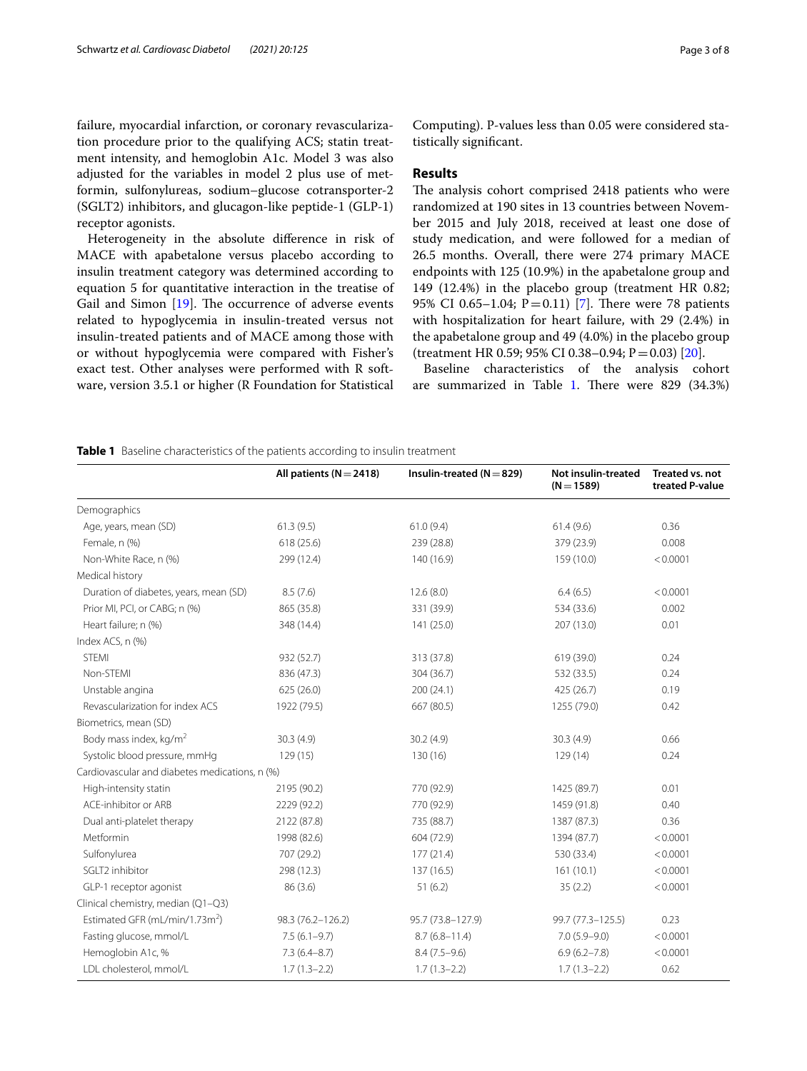failure, myocardial infarction, or coronary revascularization procedure prior to the qualifying ACS; statin treatment intensity, and hemoglobin A1c. Model 3 was also adjusted for the variables in model 2 plus use of metformin, sulfonylureas, sodium–glucose cotransporter-2 (SGLT2) inhibitors, and glucagon-like peptide-1 (GLP-1) receptor agonists.

Heterogeneity in the absolute diference in risk of MACE with apabetalone versus placebo according to insulin treatment category was determined according to equation 5 for quantitative interaction in the treatise of Gail and Simon [\[19\]](#page-6-14). The occurrence of adverse events related to hypoglycemia in insulin-treated versus not insulin-treated patients and of MACE among those with or without hypoglycemia were compared with Fisher's exact test. Other analyses were performed with R software, version 3.5.1 or higher (R Foundation for Statistical

Computing). P-values less than 0.05 were considered statistically signifcant.

#### **Results**

The analysis cohort comprised 2418 patients who were randomized at 190 sites in 13 countries between November 2015 and July 2018, received at least one dose of study medication, and were followed for a median of 26.5 months. Overall, there were 274 primary MACE endpoints with 125 (10.9%) in the apabetalone group and 149 (12.4%) in the placebo group (treatment HR 0.82; 95% CI 0.65–1.04;  $P = 0.11$ ) [[7\]](#page-6-4). There were 78 patients with hospitalization for heart failure, with 29 (2.4%) in the apabetalone group and 49 (4.0%) in the placebo group (treatment HR 0.59; 95% CI 0.38-0.94; P = 0.03) [\[20](#page-6-15)].

Baseline characteristics of the analysis cohort are summarized in Table [1.](#page-2-0) There were 829 (34.3%)

#### <span id="page-2-0"></span>**Table 1** Baseline characteristics of the patients according to insulin treatment

|                                                | All patients ( $N = 2418$ ) | Insulin-treated ( $N = 829$ ) | Not insulin-treated<br>$(N = 1589)$ | Treated vs. not<br>treated P-value |
|------------------------------------------------|-----------------------------|-------------------------------|-------------------------------------|------------------------------------|
| Demographics                                   |                             |                               |                                     |                                    |
| Age, years, mean (SD)                          | 61.3(9.5)                   | 61.0(9.4)                     | 61.4(9.6)                           | 0.36                               |
| Female, n (%)                                  | 618 (25.6)                  | 239 (28.8)                    | 379 (23.9)                          | 0.008                              |
| Non-White Race, n (%)                          | 299 (12.4)                  | 140 (16.9)                    | 159 (10.0)                          | < 0.0001                           |
| Medical history                                |                             |                               |                                     |                                    |
| Duration of diabetes, years, mean (SD)         | 8.5(7.6)                    | 12.6(8.0)                     | 6.4(6.5)                            | < 0.0001                           |
| Prior MI, PCI, or CABG; n (%)                  | 865 (35.8)                  | 331 (39.9)                    | 534 (33.6)                          | 0.002                              |
| Heart failure; n (%)                           | 348 (14.4)                  | 141 (25.0)                    | 207 (13.0)                          | 0.01                               |
| Index ACS, n (%)                               |                             |                               |                                     |                                    |
| <b>STEMI</b>                                   | 932 (52.7)                  | 313 (37.8)                    | 619 (39.0)                          | 0.24                               |
| Non-STEMI                                      | 836 (47.3)                  | 304 (36.7)                    | 532 (33.5)                          | 0.24                               |
| Unstable angina                                | 625 (26.0)                  | 200 (24.1)                    | 425 (26.7)                          | 0.19                               |
| Revascularization for index ACS                | 1922 (79.5)                 | 667 (80.5)                    | 1255 (79.0)                         | 0.42                               |
| Biometrics, mean (SD)                          |                             |                               |                                     |                                    |
| Body mass index, kg/m <sup>2</sup>             | 30.3(4.9)                   | 30.2(4.9)                     | 30.3 (4.9)                          | 0.66                               |
| Systolic blood pressure, mmHq                  | 129(15)                     | 130 (16)                      | 129(14)                             | 0.24                               |
| Cardiovascular and diabetes medications, n (%) |                             |                               |                                     |                                    |
| High-intensity statin                          | 2195 (90.2)                 | 770 (92.9)                    | 1425 (89.7)                         | 0.01                               |
| ACE-inhibitor or ARB                           | 2229 (92.2)                 | 770 (92.9)                    | 1459 (91.8)                         | 0.40                               |
| Dual anti-platelet therapy                     | 2122 (87.8)                 | 735 (88.7)                    | 1387 (87.3)                         | 0.36                               |
| Metformin                                      | 1998 (82.6)                 | 604 (72.9)                    | 1394 (87.7)                         | < 0.0001                           |
| Sulfonylurea                                   | 707 (29.2)                  | 177(21.4)                     | 530 (33.4)                          | < 0.0001                           |
| SGLT2 inhibitor                                | 298 (12.3)                  | 137 (16.5)                    | 161(10.1)                           | < 0.0001                           |
| GLP-1 receptor agonist                         | 86(3.6)                     | 51(6.2)                       | 35(2.2)                             | < 0.0001                           |
| Clinical chemistry, median (Q1-Q3)             |                             |                               |                                     |                                    |
| Estimated GFR (mL/min/1.73m <sup>2</sup> )     | 98.3 (76.2-126.2)           | 95.7 (73.8-127.9)             | 99.7 (77.3-125.5)                   | 0.23                               |
| Fasting glucose, mmol/L                        | $7.5(6.1-9.7)$              | $8.7(6.8 - 11.4)$             | $7.0(5.9 - 9.0)$                    | < 0.0001                           |
| Hemoglobin A1c, %                              | $7.3(6.4 - 8.7)$            | $8.4(7.5-9.6)$                | $6.9(6.2 - 7.8)$                    | < 0.0001                           |
| LDL cholesterol, mmol/L                        | $1.7(1.3-2.2)$              | $1.7(1.3-2.2)$                | $1.7(1.3-2.2)$                      | 0.62                               |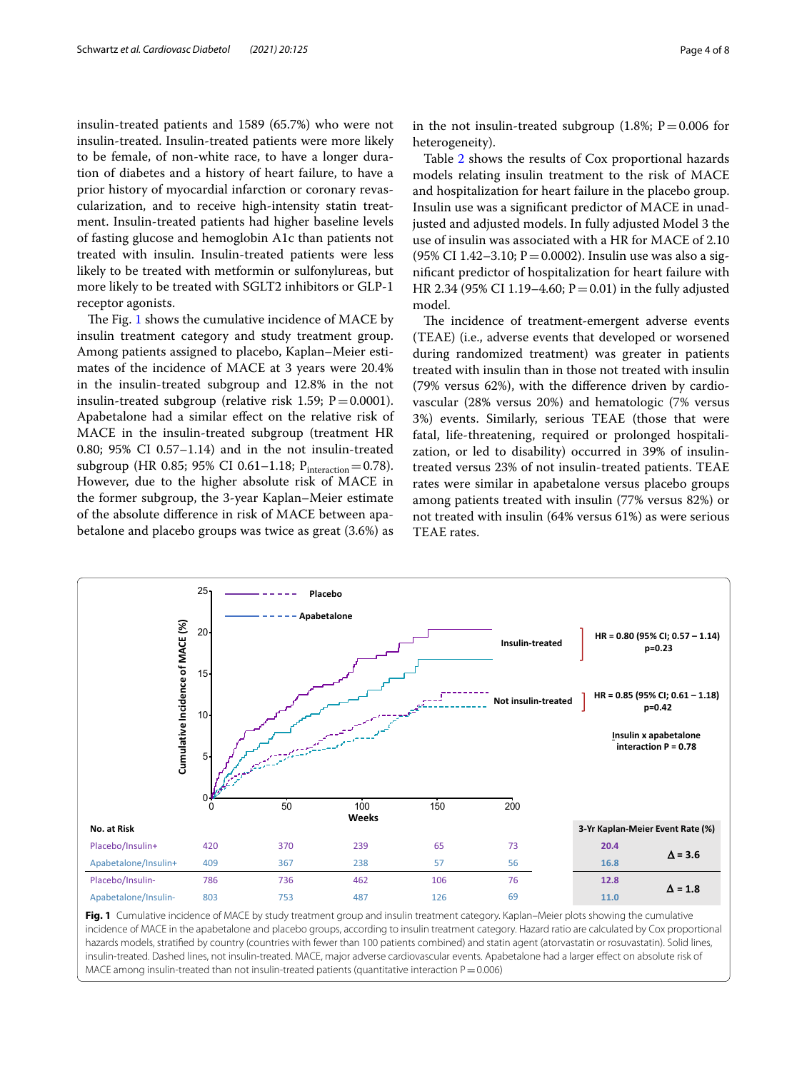insulin-treated patients and 1589 (65.7%) who were not insulin-treated. Insulin-treated patients were more likely to be female, of non-white race, to have a longer duration of diabetes and a history of heart failure, to have a prior history of myocardial infarction or coronary revascularization, and to receive high-intensity statin treatment. Insulin-treated patients had higher baseline levels of fasting glucose and hemoglobin A1c than patients not treated with insulin. Insulin-treated patients were less likely to be treated with metformin or sulfonylureas, but more likely to be treated with SGLT2 inhibitors or GLP-1 receptor agonists.

The Fig. [1](#page-3-0) shows the cumulative incidence of MACE by insulin treatment category and study treatment group. Among patients assigned to placebo, Kaplan–Meier estimates of the incidence of MACE at 3 years were 20.4% in the insulin-treated subgroup and 12.8% in the not insulin-treated subgroup (relative risk 1.59;  $P = 0.0001$ ). Apabetalone had a similar efect on the relative risk of MACE in the insulin-treated subgroup (treatment HR 0.80; 95% CI 0.57–1.14) and in the not insulin-treated subgroup (HR 0.85; 95% CI 0.61–1.18;  $P_{interaction} = 0.78$ ). However, due to the higher absolute risk of MACE in the former subgroup, the 3-year Kaplan–Meier estimate of the absolute diference in risk of MACE between apabetalone and placebo groups was twice as great (3.6%) as

in the not insulin-treated subgroup  $(1.8\%; P=0.006$  for heterogeneity).

Table [2](#page-4-0) shows the results of Cox proportional hazards models relating insulin treatment to the risk of MACE and hospitalization for heart failure in the placebo group. Insulin use was a signifcant predictor of MACE in unadjusted and adjusted models. In fully adjusted Model 3 the use of insulin was associated with a HR for MACE of 2.10 (95% CI 1.42–3.10;  $P = 0.0002$ ). Insulin use was also a signifcant predictor of hospitalization for heart failure with HR 2.34 (95% CI 1.19–4.60;  $P = 0.01$ ) in the fully adjusted model.

The incidence of treatment-emergent adverse events (TEAE) (i.e., adverse events that developed or worsened during randomized treatment) was greater in patients treated with insulin than in those not treated with insulin (79% versus 62%), with the diference driven by cardiovascular (28% versus 20%) and hematologic (7% versus 3%) events. Similarly, serious TEAE (those that were fatal, life-threatening, required or prolonged hospitalization, or led to disability) occurred in 39% of insulintreated versus 23% of not insulin-treated patients. TEAE rates were similar in apabetalone versus placebo groups among patients treated with insulin (77% versus 82%) or not treated with insulin (64% versus 61%) as were serious TEAE rates.



<span id="page-3-0"></span>**Fig. 1** Cumulative incidence of MACE by study treatment group and insulin treatment category. Kaplan–Meier plots showing the cumulative incidence of MACE in the apabetalone and placebo groups, according to insulin treatment category. Hazard ratio are calculated by Cox proportional hazards models, stratifed by country (countries with fewer than 100 patients combined) and statin agent (atorvastatin or rosuvastatin). Solid lines, insulin-treated. Dashed lines, not insulin-treated. MACE, major adverse cardiovascular events. Apabetalone had a larger efect on absolute risk of MACE among insulin-treated than not insulin-treated patients (quantitative interaction  $P=0.006$ )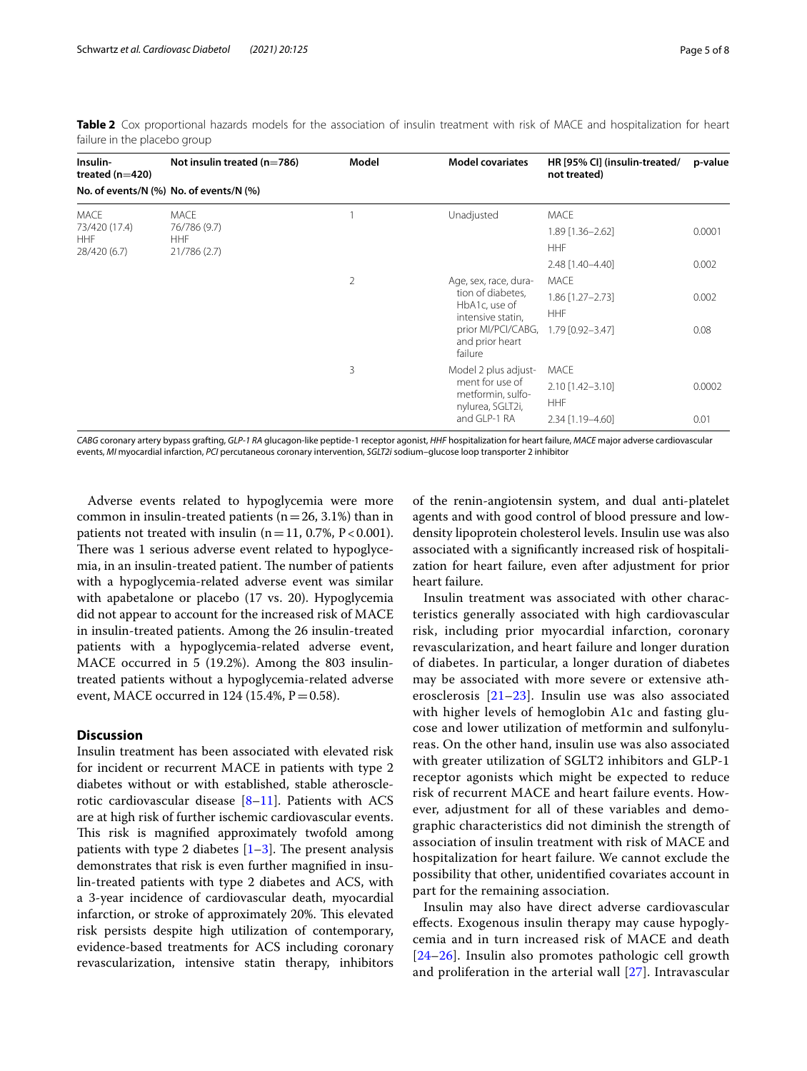| Insulin-<br>treated $(n=420)$                              | Not insulin treated ( $n=786$ )                           | Model          | <b>Model covariates</b>                                                                                                              | HR [95% CI] (insulin-treated/<br>not treated)                       | p-value         |  |  |  |
|------------------------------------------------------------|-----------------------------------------------------------|----------------|--------------------------------------------------------------------------------------------------------------------------------------|---------------------------------------------------------------------|-----------------|--|--|--|
| No. of events/N (%) No. of events/N (%)                    |                                                           |                |                                                                                                                                      |                                                                     |                 |  |  |  |
| <b>MACE</b><br>73/420 (17.4)<br><b>HHF</b><br>28/420 (6.7) | <b>MACE</b><br>76/786 (9.7)<br><b>HHF</b><br>21/786 (2.7) |                | Unadjusted                                                                                                                           | <b>MACE</b><br>1.89 [1.36-2.62]<br><b>HHF</b><br>2.48 [1.40-4.40]   | 0.0001<br>0.002 |  |  |  |
|                                                            |                                                           | $\overline{2}$ | Age, sex, race, dura-<br>tion of diabetes,<br>HbA1c, use of<br>intensive statin,<br>prior MI/PCI/CABG,<br>and prior heart<br>failure | <b>MACE</b><br>$1.86$ [1.27-2.73]<br><b>HHF</b><br>1.79 [0.92-3.47] | 0.002<br>0.08   |  |  |  |
|                                                            |                                                           | 3              | Model 2 plus adjust-<br>ment for use of<br>metformin, sulfo-<br>nylurea, SGLT2i,<br>and GLP-1 RA                                     | MACE<br>2.10 [1.42-3.10]<br><b>HHF</b><br>2.34 [1.19-4.60]          | 0.0002<br>0.01  |  |  |  |

<span id="page-4-0"></span>**Table 2** Cox proportional hazards models for the association of insulin treatment with risk of MACE and hospitalization for heart failure in the placebo group

*CABG* coronary artery bypass grafting, *GLP-1 RA* glucagon-like peptide-1 receptor agonist, *HHF* hospitalization for heart failure, *MACE* major adverse cardiovascular events, *MI* myocardial infarction, *PCI* percutaneous coronary intervention, *SGLT2i* sodium–glucose loop transporter 2 inhibitor

Adverse events related to hypoglycemia were more common in insulin-treated patients ( $n=26$ , 3.1%) than in patients not treated with insulin  $(n=11, 0.7\%, P<0.001)$ . There was 1 serious adverse event related to hypoglycemia, in an insulin-treated patient. The number of patients with a hypoglycemia-related adverse event was similar with apabetalone or placebo (17 vs. 20). Hypoglycemia did not appear to account for the increased risk of MACE in insulin-treated patients. Among the 26 insulin-treated patients with a hypoglycemia-related adverse event, MACE occurred in 5 (19.2%). Among the 803 insulintreated patients without a hypoglycemia-related adverse event, MACE occurred in 124 (15.4%,  $P = 0.58$ ).

# **Discussion**

Insulin treatment has been associated with elevated risk for incident or recurrent MACE in patients with type 2 diabetes without or with established, stable atherosclerotic cardiovascular disease [\[8](#page-6-5)[–11\]](#page-6-6). Patients with ACS are at high risk of further ischemic cardiovascular events. This risk is magnified approximately twofold among patients with type 2 diabetes  $[1-3]$  $[1-3]$  $[1-3]$ . The present analysis demonstrates that risk is even further magnifed in insulin-treated patients with type 2 diabetes and ACS, with a 3-year incidence of cardiovascular death, myocardial infarction, or stroke of approximately 20%. This elevated risk persists despite high utilization of contemporary, evidence-based treatments for ACS including coronary revascularization, intensive statin therapy, inhibitors

of the renin-angiotensin system, and dual anti-platelet agents and with good control of blood pressure and lowdensity lipoprotein cholesterol levels. Insulin use was also associated with a signifcantly increased risk of hospitalization for heart failure, even after adjustment for prior heart failure.

Insulin treatment was associated with other characteristics generally associated with high cardiovascular risk, including prior myocardial infarction, coronary revascularization, and heart failure and longer duration of diabetes. In particular, a longer duration of diabetes may be associated with more severe or extensive atherosclerosis [\[21–](#page-6-16)[23\]](#page-6-17). Insulin use was also associated with higher levels of hemoglobin A1c and fasting glucose and lower utilization of metformin and sulfonylureas. On the other hand, insulin use was also associated with greater utilization of SGLT2 inhibitors and GLP-1 receptor agonists which might be expected to reduce risk of recurrent MACE and heart failure events. However, adjustment for all of these variables and demographic characteristics did not diminish the strength of association of insulin treatment with risk of MACE and hospitalization for heart failure. We cannot exclude the possibility that other, unidentifed covariates account in part for the remaining association.

Insulin may also have direct adverse cardiovascular efects. Exogenous insulin therapy may cause hypoglycemia and in turn increased risk of MACE and death [[24](#page-6-18)[–26](#page-7-0)]. Insulin also promotes pathologic cell growth and proliferation in the arterial wall [\[27](#page-7-1)]. Intravascular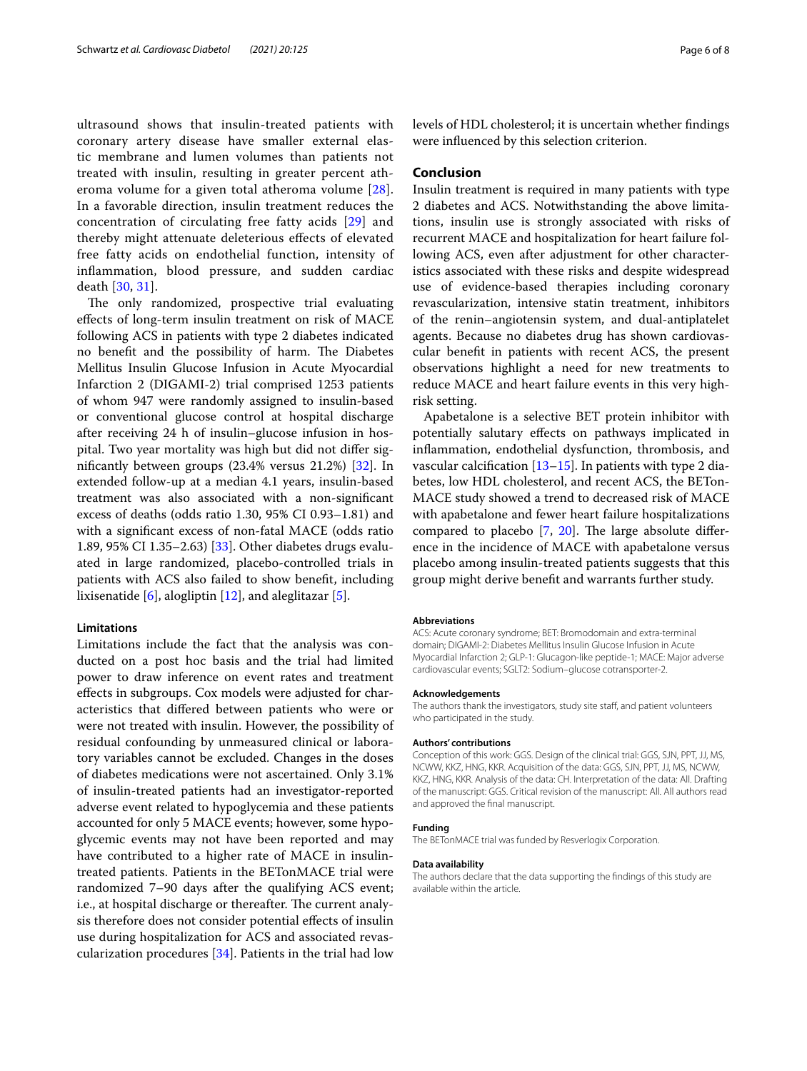ultrasound shows that insulin-treated patients with coronary artery disease have smaller external elastic membrane and lumen volumes than patients not treated with insulin, resulting in greater percent atheroma volume for a given total atheroma volume [[28\]](#page-7-2). In a favorable direction, insulin treatment reduces the concentration of circulating free fatty acids [[29](#page-7-3)] and thereby might attenuate deleterious efects of elevated free fatty acids on endothelial function, intensity of infammation, blood pressure, and sudden cardiac death [[30](#page-7-4), [31\]](#page-7-5).

The only randomized, prospective trial evaluating efects of long-term insulin treatment on risk of MACE following ACS in patients with type 2 diabetes indicated no benefit and the possibility of harm. The Diabetes Mellitus Insulin Glucose Infusion in Acute Myocardial Infarction 2 (DIGAMI-2) trial comprised 1253 patients of whom 947 were randomly assigned to insulin-based or conventional glucose control at hospital discharge after receiving 24 h of insulin–glucose infusion in hospital. Two year mortality was high but did not difer signifcantly between groups (23.4% versus 21.2%) [[32\]](#page-7-6). In extended follow-up at a median 4.1 years, insulin-based treatment was also associated with a non-signifcant excess of deaths (odds ratio 1.30, 95% CI 0.93–1.81) and with a signifcant excess of non-fatal MACE (odds ratio 1.89, 95% CI 1.35–2.63) [[33\]](#page-7-7). Other diabetes drugs evaluated in large randomized, placebo-controlled trials in patients with ACS also failed to show beneft, including lixisenatide  $[6]$  $[6]$ , alogliptin  $[12]$  $[12]$  $[12]$ , and aleglitazar  $[5]$  $[5]$ .

#### **Limitations**

Limitations include the fact that the analysis was conducted on a post hoc basis and the trial had limited power to draw inference on event rates and treatment efects in subgroups. Cox models were adjusted for characteristics that difered between patients who were or were not treated with insulin. However, the possibility of residual confounding by unmeasured clinical or laboratory variables cannot be excluded. Changes in the doses of diabetes medications were not ascertained. Only 3.1% of insulin-treated patients had an investigator-reported adverse event related to hypoglycemia and these patients accounted for only 5 MACE events; however, some hypoglycemic events may not have been reported and may have contributed to a higher rate of MACE in insulintreated patients. Patients in the BETonMACE trial were randomized 7–90 days after the qualifying ACS event; i.e., at hospital discharge or thereafter. The current analysis therefore does not consider potential efects of insulin use during hospitalization for ACS and associated revascularization procedures [[34](#page-7-8)]. Patients in the trial had low levels of HDL cholesterol; it is uncertain whether fndings were infuenced by this selection criterion.

# **Conclusion**

Insulin treatment is required in many patients with type 2 diabetes and ACS. Notwithstanding the above limitations, insulin use is strongly associated with risks of recurrent MACE and hospitalization for heart failure following ACS, even after adjustment for other characteristics associated with these risks and despite widespread use of evidence-based therapies including coronary revascularization, intensive statin treatment, inhibitors of the renin–angiotensin system, and dual-antiplatelet agents. Because no diabetes drug has shown cardiovascular beneft in patients with recent ACS, the present observations highlight a need for new treatments to reduce MACE and heart failure events in this very highrisk setting.

Apabetalone is a selective BET protein inhibitor with potentially salutary efects on pathways implicated in infammation, endothelial dysfunction, thrombosis, and vascular calcifcation [[13](#page-6-9)[–15](#page-6-10)]. In patients with type 2 diabetes, low HDL cholesterol, and recent ACS, the BETon-MACE study showed a trend to decreased risk of MACE with apabetalone and fewer heart failure hospitalizations compared to placebo  $[7, 20]$  $[7, 20]$  $[7, 20]$  $[7, 20]$ . The large absolute difference in the incidence of MACE with apabetalone versus placebo among insulin-treated patients suggests that this group might derive beneft and warrants further study.

#### **Abbreviations**

ACS: Acute coronary syndrome; BET: Bromodomain and extra-terminal domain; DIGAMI-2: Diabetes Mellitus Insulin Glucose Infusion in Acute Myocardial Infarction 2; GLP-1: Glucagon-like peptide-1; MACE: Major adverse cardiovascular events; SGLT2: Sodium–glucose cotransporter-2.

#### **Acknowledgements**

The authors thank the investigators, study site staff, and patient volunteers who participated in the study.

#### **Authors' contributions**

Conception of this work: GGS. Design of the clinical trial: GGS, SJN, PPT, JJ, MS, NCWW, KKZ, HNG, KKR. Acquisition of the data: GGS, SJN, PPT, JJ, MS, NCWW, KKZ, HNG, KKR. Analysis of the data: CH. Interpretation of the data: All. Drafting of the manuscript: GGS. Critical revision of the manuscript: All. All authors read and approved the fnal manuscript.

#### **Funding**

The BETonMACE trial was funded by Resverlogix Corporation.

#### **Data availability**

The authors declare that the data supporting the fndings of this study are available within the article.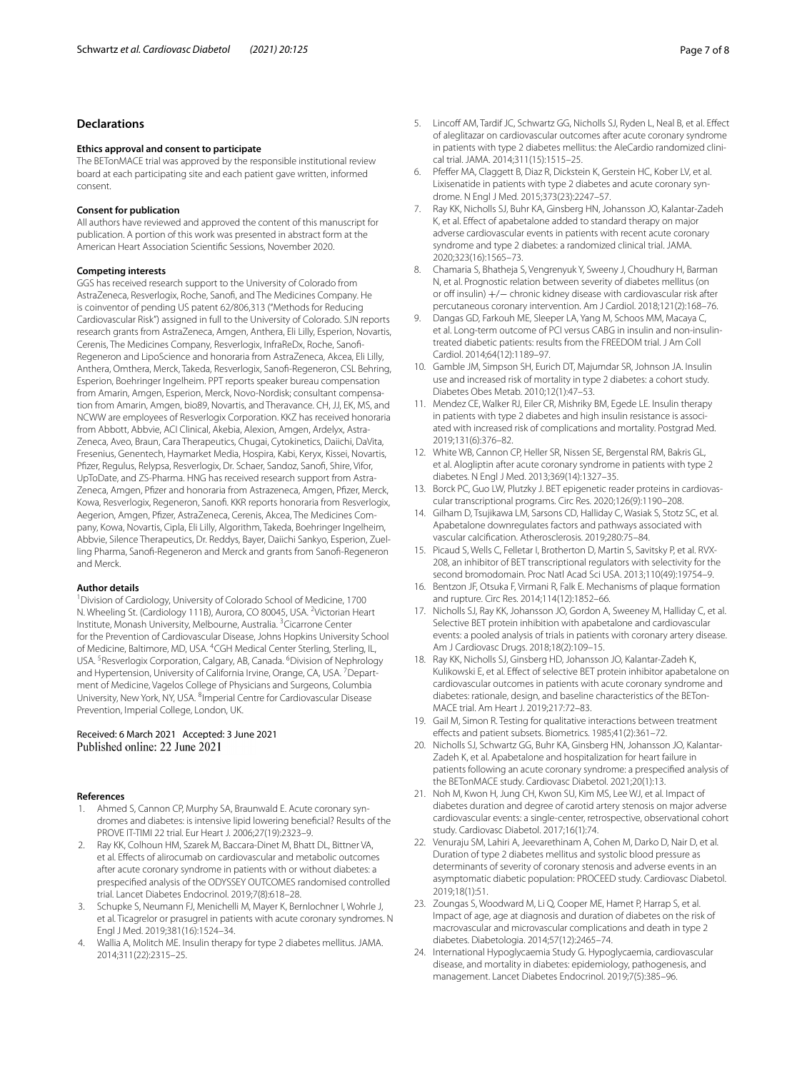# **Declarations**

#### **Ethics approval and consent to participate**

The BETonMACE trial was approved by the responsible institutional review board at each participating site and each patient gave written, informed consent.

#### **Consent for publication**

All authors have reviewed and approved the content of this manuscript for publication. A portion of this work was presented in abstract form at the American Heart Association Scientifc Sessions, November 2020.

#### **Competing interests**

GGS has received research support to the University of Colorado from AstraZeneca, Resverlogix, Roche, Sanof, and The Medicines Company. He is coinventor of pending US patent 62/806,313 ("Methods for Reducing Cardiovascular Risk") assigned in full to the University of Colorado. SJN reports research grants from AstraZeneca, Amgen, Anthera, Eli Lilly, Esperion, Novartis, Cerenis, The Medicines Company, Resverlogix, InfraReDx, Roche, Sanof-Regeneron and LipoScience and honoraria from AstraZeneca, Akcea, Eli Lilly, Anthera, Omthera, Merck, Takeda, Resverlogix, Sanof-Regeneron, CSL Behring, Esperion, Boehringer Ingelheim. PPT reports speaker bureau compensation from Amarin, Amgen, Esperion, Merck, Novo-Nordisk; consultant compensation from Amarin, Amgen, bio89, Novartis, and Theravance. CH, JJ, EK, MS, and NCWW are employees of Resverlogix Corporation. KKZ has received honoraria from Abbott, Abbvie, ACI Clinical, Akebia, Alexion, Amgen, Ardelyx, Astra-Zeneca, Aveo, Braun, Cara Therapeutics, Chugai, Cytokinetics, Daiichi, DaVita, Fresenius, Genentech, Haymarket Media, Hospira, Kabi, Keryx, Kissei, Novartis, Pfizer, Regulus, Relypsa, Resverlogix, Dr. Schaer, Sandoz, Sanofi, Shire, Vifor, UpToDate, and ZS-Pharma. HNG has received research support from Astra-Zeneca, Amgen, Pfizer and honoraria from Astrazeneca, Amgen, Pfizer, Merck, Kowa, Resverlogix, Regeneron, Sanof. KKR reports honoraria from Resverlogix, Aegerion, Amgen, Pfizer, AstraZeneca, Cerenis, Akcea, The Medicines Company, Kowa, Novartis, Cipla, Eli Lilly, Algorithm, Takeda, Boehringer Ingelheim, Abbvie, Silence Therapeutics, Dr. Reddys, Bayer, Daiichi Sankyo, Esperion, Zuel‑ ling Pharma, Sanof-Regeneron and Merck and grants from Sanof-Regeneron and Merck.

#### **Author details**

<sup>1</sup> Division of Cardiology, University of Colorado School of Medicine, 1700 N. Wheeling St. (Cardiology 111B), Aurora, CO 80045, USA. <sup>2</sup>Victorian Heart Institute, Monash University, Melbourne, Australia. <sup>3</sup> Cicarrone Center for the Prevention of Cardiovascular Disease, Johns Hopkins University School of Medicine, Baltimore, MD, USA. <sup>4</sup>CGH Medical Center Sterling, Sterling, IL, USA.<sup>5</sup> Resverlogix Corporation, Calgary, AB, Canada.<sup>6</sup> Division of Nephrology and Hypertension, University of California Irvine, Orange, CA, USA.<sup>7</sup> Department of Medicine, Vagelos College of Physicians and Surgeons, Columbia University, New York, NY, USA. <sup>8</sup>Imperial Centre for Cardiovascular Disease Prevention, Imperial College, London, UK.

# Received: 6 March 2021 Accepted: 3 June 2021

#### **References**

- <span id="page-6-0"></span>1. Ahmed S, Cannon CP, Murphy SA, Braunwald E. Acute coronary syndromes and diabetes: is intensive lipid lowering benefcial? Results of the PROVE IT-TIMI 22 trial. Eur Heart J. 2006;27(19):2323–9.
- 2. Ray KK, Colhoun HM, Szarek M, Baccara-Dinet M, Bhatt DL, Bittner VA, et al. Efects of alirocumab on cardiovascular and metabolic outcomes after acute coronary syndrome in patients with or without diabetes: a prespecifed analysis of the ODYSSEY OUTCOMES randomised controlled trial. Lancet Diabetes Endocrinol. 2019;7(8):618–28.
- <span id="page-6-1"></span>3. Schupke S, Neumann FJ, Menichelli M, Mayer K, Bernlochner I, Wohrle J, et al. Ticagrelor or prasugrel in patients with acute coronary syndromes. N Engl J Med. 2019;381(16):1524–34.
- <span id="page-6-2"></span>4. Wallia A, Molitch ME. Insulin therapy for type 2 diabetes mellitus. JAMA. 2014;311(22):2315–25.
- <span id="page-6-3"></span>5. Lincoff AM, Tardif JC, Schwartz GG, Nicholls SJ, Ryden L, Neal B, et al. Effect of aleglitazar on cardiovascular outcomes after acute coronary syndrome in patients with type 2 diabetes mellitus: the AleCardio randomized clinical trial. JAMA. 2014;311(15):1515–25.
- <span id="page-6-7"></span>6. Pfefer MA, Claggett B, Diaz R, Dickstein K, Gerstein HC, Kober LV, et al. Lixisenatide in patients with type 2 diabetes and acute coronary syndrome. N Engl J Med. 2015;373(23):2247–57.
- <span id="page-6-4"></span>7. Ray KK, Nicholls SJ, Buhr KA, Ginsberg HN, Johansson JO, Kalantar-Zadeh K, et al. Efect of apabetalone added to standard therapy on major adverse cardiovascular events in patients with recent acute coronary syndrome and type 2 diabetes: a randomized clinical trial. JAMA. 2020;323(16):1565–73.
- <span id="page-6-5"></span>8. Chamaria S, Bhatheja S, Vengrenyuk Y, Sweeny J, Choudhury H, Barman N, et al. Prognostic relation between severity of diabetes mellitus (on or off insulin) +/- chronic kidney disease with cardiovascular risk after percutaneous coronary intervention. Am J Cardiol. 2018;121(2):168–76.
- 9. Dangas GD, Farkouh ME, Sleeper LA, Yang M, Schoos MM, Macaya C, et al. Long-term outcome of PCI versus CABG in insulin and non-insulintreated diabetic patients: results from the FREEDOM trial. J Am Coll Cardiol. 2014;64(12):1189–97.
- 10. Gamble JM, Simpson SH, Eurich DT, Majumdar SR, Johnson JA. Insulin use and increased risk of mortality in type 2 diabetes: a cohort study. Diabetes Obes Metab. 2010;12(1):47–53.
- <span id="page-6-6"></span>11. Mendez CE, Walker RJ, Eiler CR, Mishriky BM, Egede LE. Insulin therapy in patients with type 2 diabetes and high insulin resistance is associated with increased risk of complications and mortality. Postgrad Med. 2019;131(6):376–82.
- <span id="page-6-8"></span>12. White WB, Cannon CP, Heller SR, Nissen SE, Bergenstal RM, Bakris GL, et al. Alogliptin after acute coronary syndrome in patients with type 2 diabetes. N Engl J Med. 2013;369(14):1327–35.
- <span id="page-6-9"></span>13. Borck PC, Guo LW, Plutzky J. BET epigenetic reader proteins in cardiovascular transcriptional programs. Circ Res. 2020;126(9):1190–208.
- 14. Gilham D, Tsujikawa LM, Sarsons CD, Halliday C, Wasiak S, Stotz SC, et al. Apabetalone downregulates factors and pathways associated with vascular calcifcation. Atherosclerosis. 2019;280:75–84.
- <span id="page-6-10"></span>15. Picaud S, Wells C, Felletar I, Brotherton D, Martin S, Savitsky P, et al. RVX-208, an inhibitor of BET transcriptional regulators with selectivity for the second bromodomain. Proc Natl Acad Sci USA. 2013;110(49):19754–9.
- <span id="page-6-11"></span>16. Bentzon JF, Otsuka F, Virmani R, Falk E. Mechanisms of plaque formation and rupture. Circ Res. 2014;114(12):1852–66.
- <span id="page-6-12"></span>17. Nicholls SJ, Ray KK, Johansson JO, Gordon A, Sweeney M, Halliday C, et al. Selective BET protein inhibition with apabetalone and cardiovascular events: a pooled analysis of trials in patients with coronary artery disease. Am J Cardiovasc Drugs. 2018;18(2):109–15.
- <span id="page-6-13"></span>18. Ray KK, Nicholls SJ, Ginsberg HD, Johansson JO, Kalantar-Zadeh K, Kulikowski E, et al. Efect of selective BET protein inhibitor apabetalone on cardiovascular outcomes in patients with acute coronary syndrome and diabetes: rationale, design, and baseline characteristics of the BETon-MACE trial. Am Heart J. 2019;217:72–83.
- <span id="page-6-14"></span>19. Gail M, Simon R. Testing for qualitative interactions between treatment efects and patient subsets. Biometrics. 1985;41(2):361–72.
- <span id="page-6-15"></span>20. Nicholls SJ, Schwartz GG, Buhr KA, Ginsberg HN, Johansson JO, Kalantar-Zadeh K, et al. Apabetalone and hospitalization for heart failure in patients following an acute coronary syndrome: a prespecifed analysis of the BETonMACE study. Cardiovasc Diabetol. 2021;20(1):13.
- <span id="page-6-16"></span>21. Noh M, Kwon H, Jung CH, Kwon SU, Kim MS, Lee WJ, et al. Impact of diabetes duration and degree of carotid artery stenosis on major adverse cardiovascular events: a single-center, retrospective, observational cohort study. Cardiovasc Diabetol. 2017;16(1):74.
- 22. Venuraju SM, Lahiri A, Jeevarethinam A, Cohen M, Darko D, Nair D, et al. Duration of type 2 diabetes mellitus and systolic blood pressure as determinants of severity of coronary stenosis and adverse events in an asymptomatic diabetic population: PROCEED study. Cardiovasc Diabetol. 2019;18(1):51.
- <span id="page-6-17"></span>23. Zoungas S, Woodward M, Li Q, Cooper ME, Hamet P, Harrap S, et al. Impact of age, age at diagnosis and duration of diabetes on the risk of macrovascular and microvascular complications and death in type 2 diabetes. Diabetologia. 2014;57(12):2465–74.
- <span id="page-6-18"></span>24. International Hypoglycaemia Study G. Hypoglycaemia, cardiovascular disease, and mortality in diabetes: epidemiology, pathogenesis, and management. Lancet Diabetes Endocrinol. 2019;7(5):385–96.